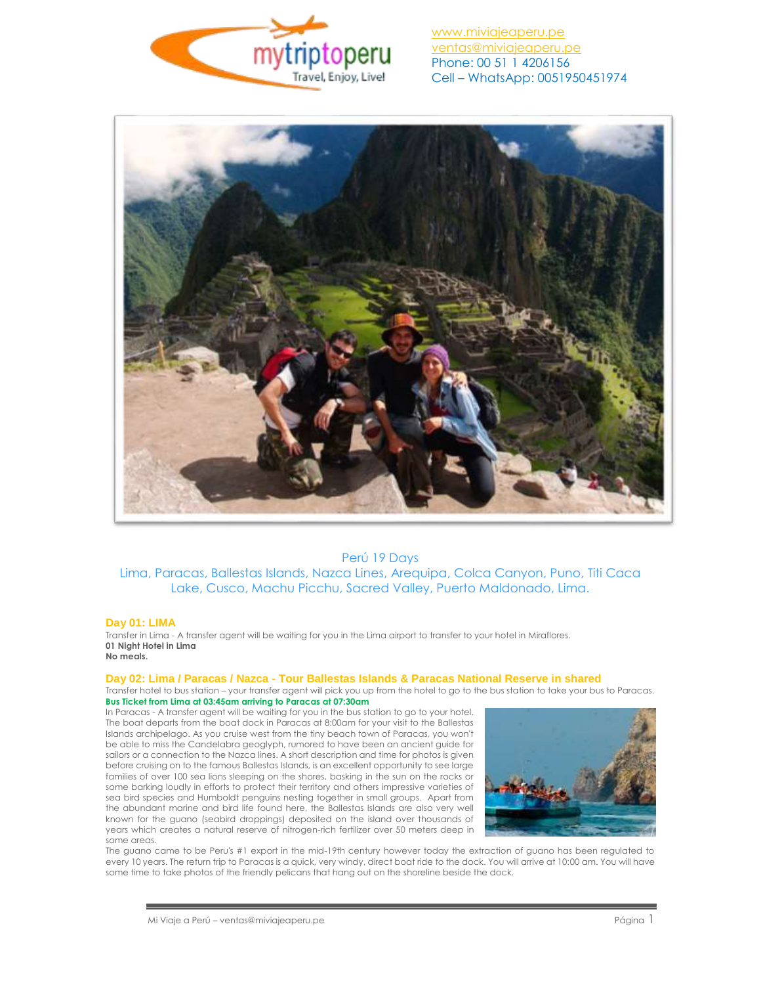



# Perú 19 Days Lima, Paracas, Ballestas Islands, Nazca Lines, Arequipa, Colca Canyon, Puno, Titi Caca Lake, Cusco, Machu Picchu, Sacred Valley, Puerto Maldonado, Lima.

#### **Day 01: LIMA**

Transfer in Lima - A transfer agent will be waiting for you in the Lima airport to transfer to your hotel in Miraflores. **01 Night Hotel in Lima No meals.**

#### **Day 02: Lima / Paracas / Nazca - Tour Ballestas Islands & Paracas National Reserve in shared**

Transfer hotel to bus station – your transfer agent will pick you up from the hotel to go to the bus station to take your bus to Paracas. **Bus Ticket from Lima at 03:45am arriving to Paracas at 07:30am** 

In Paracas - A transfer agent will be waiting for you in the bus station to go to your hotel. The boat departs from the boat dock in Paracas at 8:00am for your visit to the Ballestas Islands archipelago. As you cruise west from the tiny beach town of Paracas, you won't be able to miss the Candelabra geoglyph, rumored to have been an ancient guide for sailors or a connection to the Nazca lines. A short description and time for photos is given before cruising on to the famous Ballestas Islands, is an excellent opportunity to see large families of over 100 sea lions sleeping on the shores, basking in the sun on the rocks or some barking loudly in efforts to protect their territory and others impressive varieties of sea bird species and Humboldt penguins nesting together in small groups. Apart from the abundant marine and bird life found here, the Ballestas Islands are also very well known for the guano (seabird droppings) deposited on the island over thousands of years which creates a natural reserve of nitrogen-rich fertilizer over 50 meters deep in .<br>some areas.



The guano came to be Peru's #1 export in the mid-19th century however today the extraction of guano has been regulated to every 10 years. The return trip to Paracas is a quick, very windy, direct boat ride to the dock. You will arrive at 10:00 am. You will have some time to take photos of the friendly pelicans that hang out on the shoreline beside the dock.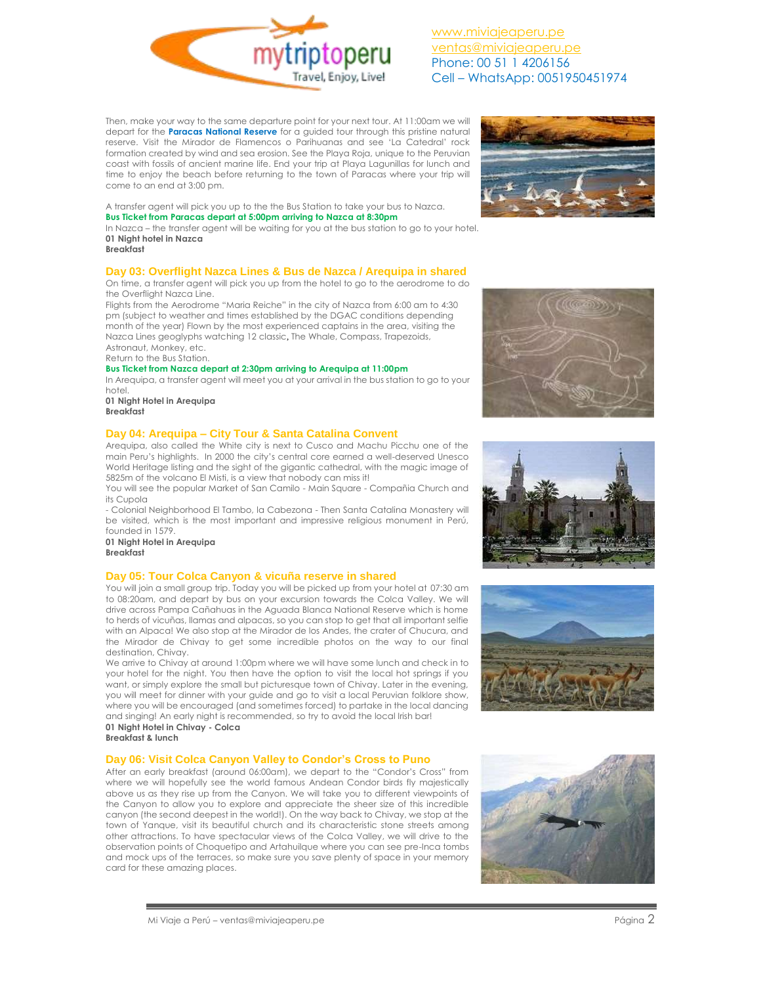

Then, make your way to the same departure point for your next tour. At 11:00am we will depart for the **Paracas National Reserve** for a guided tour through this pristine natural reserve. Visit the Mirador de Flamencos o Parihuanas and see 'La Catedral' rock formation created by wind and sea erosion. See the Playa Roja, unique to the Peruvian coast with fossils of ancient marine life. End your trip at Playa Lagunillas for lunch and time to enjoy the beach before returning to the town of Paracas where your trip will come to an end at 3:00 pm.



A transfer agent will pick you up to the the Bus Station to take your bus to Nazca. **Bus Ticket from Paracas depart at 5:00pm arriving to Nazca at 8:30pm**

In Nazca – the transfer agent will be waiting for you at the bus station to go to your hotel. **01 Night hotel in Nazca**

## **Breakfast**

## **Day 03: Overflight Nazca Lines & Bus de Nazca / Arequipa in shared**

On time, a transfer agent will pick you up from the hotel to go to the aerodrome to do the Overflight Nazca Line.

Flights from the Aerodrome "Maria Reiche" in the city of Nazca from 6:00 am to 4:30 pm (subject to weather and times established by the DGAC conditions depending month of the year) Flown by the most experienced captains in the area, visiting the Nazca Lines geoglyphs watching 12 classic, The Whale, Compass, Trapezoids, Astronaut, Monkey, etc.

Return to the Bus Station.

#### **Bus Ticket from Nazca depart at 2:30pm arriving to Arequipa at 11:00pm**

In Arequipa, a transfer agent will meet you at your arrival in the bus station to go to your hotel.

**01 Night Hotel in Arequipa Breakfast**

### **Day 04: Arequipa – City Tour & Santa Catalina Convent**

Arequipa, also called the White city is next to Cusco and Machu Picchu one of the main Peru's highlights. In 2000 the city's central core earned a well-deserved Unesco World Heritage listing and the sight of the gigantic cathedral, with the magic image of 5825m of the volcano El Misti, is a view that nobody can miss it!

You will see the popular Market of San Camilo - Main Square - Compañia Church and its Cupola

- Colonial Neighborhood El Tambo, la Cabezona - Then Santa Catalina Monastery will be visited, which is the most important and impressive religious monument in Perú, founded in 1579.

**01 Night Hotel in Arequipa**

**Breakfast**

## **Day 05: Tour Colca Canyon & vicuña reserve in shared**

You will join a small group trip. Today you will be picked up from your hotel at 07:30 am to 08:20am, and depart by bus on your excursion towards the Colca Valley. We will drive across Pampa Cañahuas in the Aguada Blanca National Reserve which is home to herds of vicuñas, llamas and alpacas, so you can stop to get that all important selfie with an Alpaca! We also stop at the Mirador de los Andes, the crater of Chucura, and the Mirador de Chivay to get some incredible photos on the way to our final destination, Chivay.

We arrive to Chivay at around 1:00pm where we will have some lunch and check in to your hotel for the night. You then have the option to visit the local hot springs if you want, or simply explore the small but picturesque town of Chivay. Later in the evening, you will meet for dinner with your guide and go to visit a local Peruvian folklore show, where you will be encouraged (and sometimes forced) to partake in the local dancing and singing! An early night is recommended, so try to avoid the local Irish bar!

**01 Night Hotel in Chivay - Colca Breakfast & lunch** 

### **Day 06: Visit Colca Canyon Valley to Condor's Cross to Puno**

After an early breakfast (around 06:00am), we depart to the "Condor's Cross" from where we will hopefully see the world famous Andean Condor birds fly majestically above us as they rise up from the Canyon. We will take you to different viewpoints of the Canyon to allow you to explore and appreciate the sheer size of this incredible canyon (the second deepest in the world!). On the way back to Chivay, we stop at the town of Yanque, visit its beautiful church and its characteristic stone streets among other attractions. To have spectacular views of the Colca Valley, we will drive to the observation points of Choquetipo and Artahuilque where you can see pre-Inca tombs and mock ups of the terraces, so make sure you save plenty of space in your memory card for these amazing places.







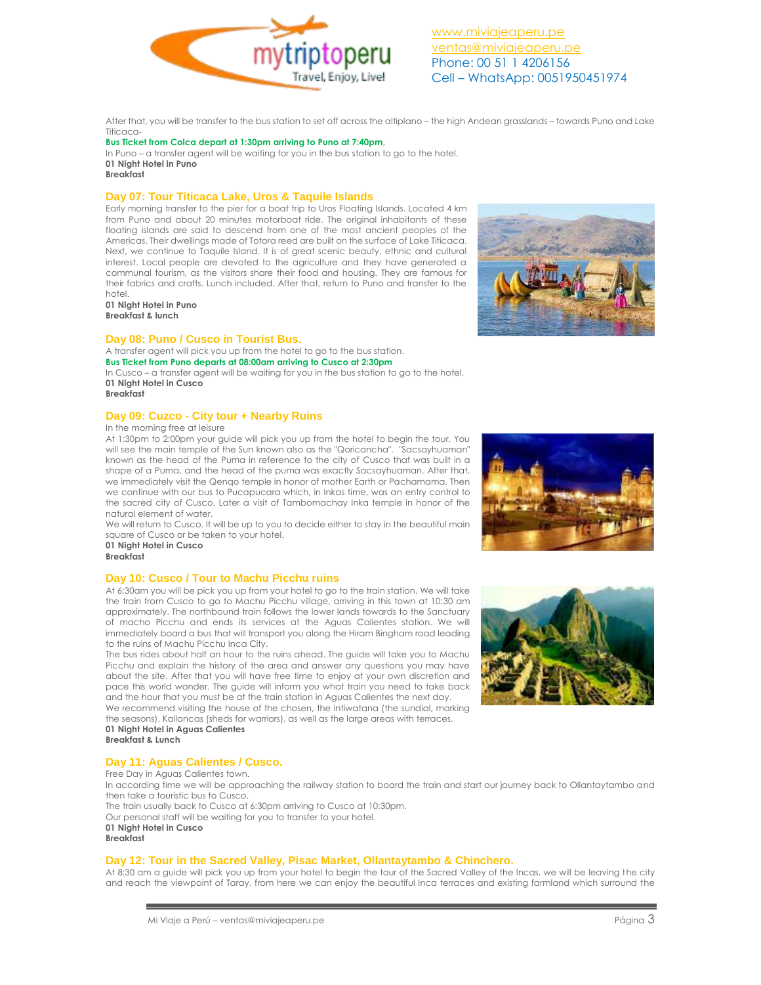

After that, you will be transfer to the bus station to set off across the altiplano – the high Andean grasslands – towards Puno and Lake Titicaca-

### **Bus Ticket from Colca depart at 1:30pm arriving to Puno at 7:40pm**,

In Puno – a transfer agent will be waiting for you in the bus station to go to the hotel. **01 Night Hotel in Puno Breakfast**

# **Day 07: Tour Titicaca Lake, Uros & Taquile Islands**

Early morning transfer to the pier for a boat trip to Uros Floating Islands. Located 4 km from Puno and about 20 minutes motorboat ride. The original inhabitants of these floating islands are said to descend from one of the most ancient peoples of the Americas. Their dwellings made of Totora reed are built on the surface of Lake Titicaca. Next, we continue to Taquile Island. It is of great scenic beauty, ethnic and cultural interest. Local people are devoted to the agriculture and they have generated a communal tourism, as the visitors share their food and housing. They are famous for their fabrics and crafts. Lunch included. After that, return to Puno and transfer to the hotel.

**01 Night Hotel in Puno Breakfast & lunch**

## **Day 08: Puno / Cusco in Tourist Bus.**

A transfer agent will pick you up from the hotel to go to the bus station. **Bus Ticket from Puno departs at 08:00am arriving to Cusco at 2:30pm** In Cusco – a transfer agent will be waiting for you in the bus station to go to the hotel.

**01 Night Hotel in Cusco Breakfast**

### **Day 09: Cuzco - City tour + Nearby Ruins**

#### In the morning free at leisure

At 1:30pm to 2:00pm your guide will pick you up from the hotel to begin the tour. You will see the main temple of the Sun known also as the "Qoricancha". "Sacsayhuaman" known as the head of the Puma in reference to the city of Cusco that was built in a shape of a Puma, and the head of the puma was exactly Sacsayhuaman. After that, we immediately visit the Qenqo temple in honor of mother Earth or Pachamama. Then we continue with our bus to Pucapucara which, in Inkas time, was an entry control to the sacred city of Cusco. Later a visit of Tambomachay Inka temple in honor of the natural element of water.

We will return to Cusco. It will be up to you to decide either to stay in the beautiful main square of Cusco or be taken to your hotel.

**01 Night Hotel in Cusco Breakfast**

## **Day 10: Cusco / Tour to Machu Picchu ruins**

At 6:30am you will be pick you up from your hotel to go to the train station. We will take the train from Cusco to go to Machu Picchu village, arriving in this town at 10:30 am approximately. The northbound train follows the lower lands towards to the Sanctuary of macho Picchu and ends its services at the Aguas Calientes station. We will immediately board a bus that will transport you along the Hiram Bingham road leading to the ruins of Machu Picchu Inca City.

The bus rides about half an hour to the ruins ahead. The guide will take you to Machu Picchu and explain the history of the area and answer any questions you may have about the site. After that you will have free time to enjoy at your own discretion and pace this world wonder. The guide will inform you what train you need to take back and the hour that you must be at the train station in Aguas Calientes the next day. We recommend visiting the house of the chosen, the intiwatana (the sundial, marking the seasons), Kallancas (sheds for warriors), as well as the large areas with terraces.

**01 Night Hotel in Aguas Calientes Breakfast & Lunch**

## **Day 11: Aguas Calientes / Cusco.**

Free Day in Aguas Calientes town. In according time we will be approaching the railway station to board the train and start our journey back to Ollantaytambo and then take a touristic bus to Cusco. The train usually back to Cusco at 6:30pm arriving to Cusco at 10:30pm. Our personal staff will be waiting for you to transfer to your hotel. **01 Night Hotel in Cusco**

**Breakfast**

### **Day 12: Tour in the Sacred Valley, Pisac Market, Ollantaytambo & Chinchero.**

At 8:30 am a guide will pick you up from your hotel to begin the tour of the Sacred Valley of the Incas, we will be leaving the city and reach the viewpoint of Taray, from here we can enjoy the beautiful Inca terraces and existing farmland which surround the





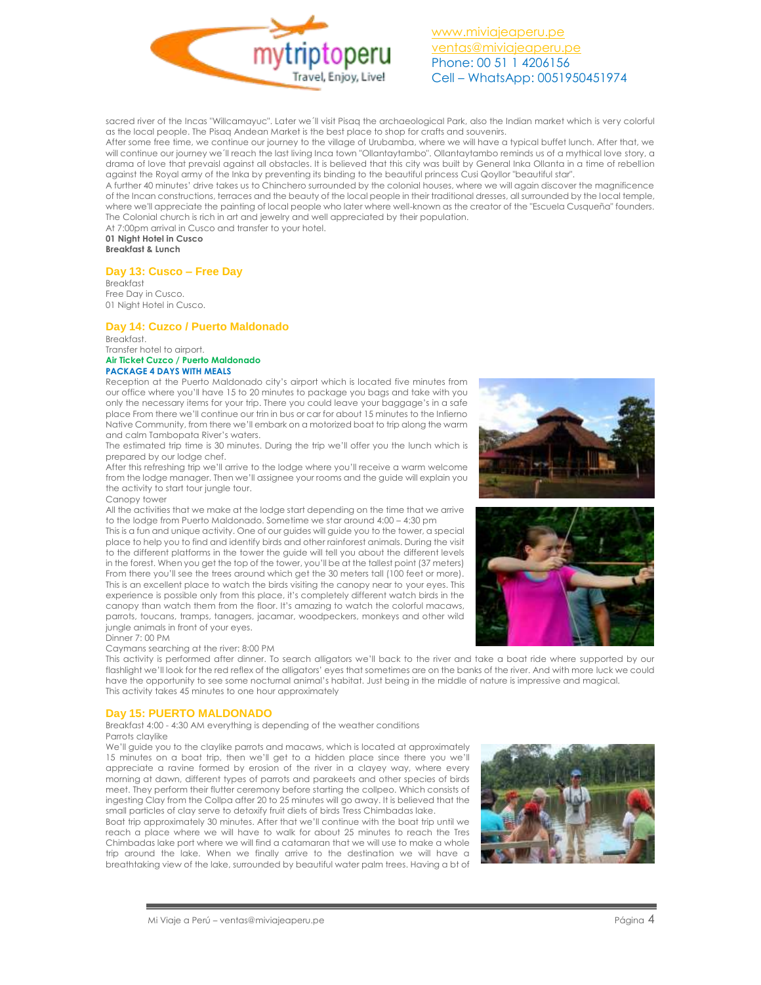

sacred river of the Incas "Willcamayuc". Later we´ll visit Pisaq the archaeological Park, also the Indian market which is very colorful as the local people. The Pisaq Andean Market is the best place to shop for crafts and souvenirs.

After some free time, we continue our journey to the village of Urubamba, where we will have a typical buffet lunch. After that, we will continue our journey we´ll reach the last living Inca town "Ollantaytambo". Ollantaytambo reminds us of a mythical love story, a drama of love that prevaisl against all obstacles. It is believed that this city was built by General Inka Ollanta in a time of rebellion against the Royal army of the Inka by preventing its binding to the beautiful princess Cusi Qoyllor "beautiful star".

A further 40 minutes' drive takes us to Chinchero surrounded by the colonial houses, where we will again discover the magnificence of the Incan constructions, terraces and the beauty of the local people in their traditional dresses, all surrounded by the local temple, where we'll appreciate the painting of local people who later where well-known as the creator of the "Escuela Cusqueña" founders. The Colonial church is rich in art and jewelry and well appreciated by their population.

At 7:00pm arrival in Cusco and transfer to your hotel. **01 Night Hotel in Cusco Breakfast & Lunch**

### **Day 13: Cusco – Free Day**

Breakfast Free Day in Cusco. 01 Night Hotel in Cusco.

## **Day 14: Cuzco / Puerto Maldonado**

Breakfast. Transfer hotel to airport. **Air Ticket Cuzco / Puerto Maldonado**

### **PACKAGE 4 DAYS WITH MEALS**

Reception at the Puerto Maldonado city's airport which is located five minutes from our office where you'll have 15 to 20 minutes to package you bags and take with you only the necessary items for your trip. There you could leave your baggage's in a safe place From there we'll continue our trin in bus or car for about 15 minutes to the Infierno Native Community, from there we'll embark on a motorized boat to trip along the warm and calm Tambopata River's waters.

The estimated trip time is 30 minutes. During the trip we'll offer you the lunch which is prepared by our lodge chef.

After this refreshing trip we'll arrive to the lodge where you'll receive a warm welcome from the lodge manager. Then we'll assignee your rooms and the guide will explain you the activity to start tour jungle tour.

## Canopy tower

All the activities that we make at the lodge start depending on the time that we arrive to the lodge from Puerto Maldonado. Sometime we star around 4:00 – 4:30 pm

This is a fun and unique activity. One of our guides will guide you to the tower, a special place to help you to find and identify birds and other rainforest animals. During the visit to the different platforms in the tower the guide will tell you about the different levels in the forest. When you get the top of the tower, you'll be at the tallest point (37 meters) From there you'll see the trees around which get the 30 meters tall (100 feet or more). This is an excellent place to watch the birds visiting the canopy near to your eyes. This experience is possible only from this place, it's completely different watch birds in the canopy than watch them from the floor. It's amazing to watch the colorful macaws, parrots, toucans, tramps, tanagers, jacamar, woodpeckers, monkeys and other wild jungle animals in front of your eyes.

#### Dinner 7: 00 PM

### Caymans searching at the river: 8:00 PM

This activity is performed after dinner. To search alligators we'll back to the river and take a boat ride where supported by our flashlight we'll look for the red reflex of the alligators' eyes that sometimes are on the banks of the river. And with more luck we could have the opportunity to see some nocturnal animal's habitat. Just being in the middle of nature is impressive and magical. This activity takes 45 minutes to one hour approximately

## **Day 15: PUERTO MALDONADO**

Breakfast 4:00 - 4:30 AM everything is depending of the weather conditions Parrots claylike

We'll guide you to the claylike parrots and macaws, which is located at approximately 15 minutes on a boat trip, then we'll get to a hidden place since there you we'll appreciate a ravine formed by erosion of the river in a clayey way, where every morning at dawn, different types of parrots and parakeets and other species of birds meet. They perform their flutter ceremony before starting the collpeo. Which consists of ingesting Clay from the Collpa after 20 to 25 minutes will go away. It is believed that the small particles of clay serve to detoxify fruit diets of birds Tress Chimbadas lake.

Boat trip approximately 30 minutes. After that we'll continue with the boat trip until we reach a place where we will have to walk for about 25 minutes to reach the Tres Chimbadas lake port where we will find a catamaran that we will use to make a whole trip around the lake. When we finally arrive to the destination we will have a breathtaking view of the lake, surrounded by beautiful water palm trees. Having a bt of





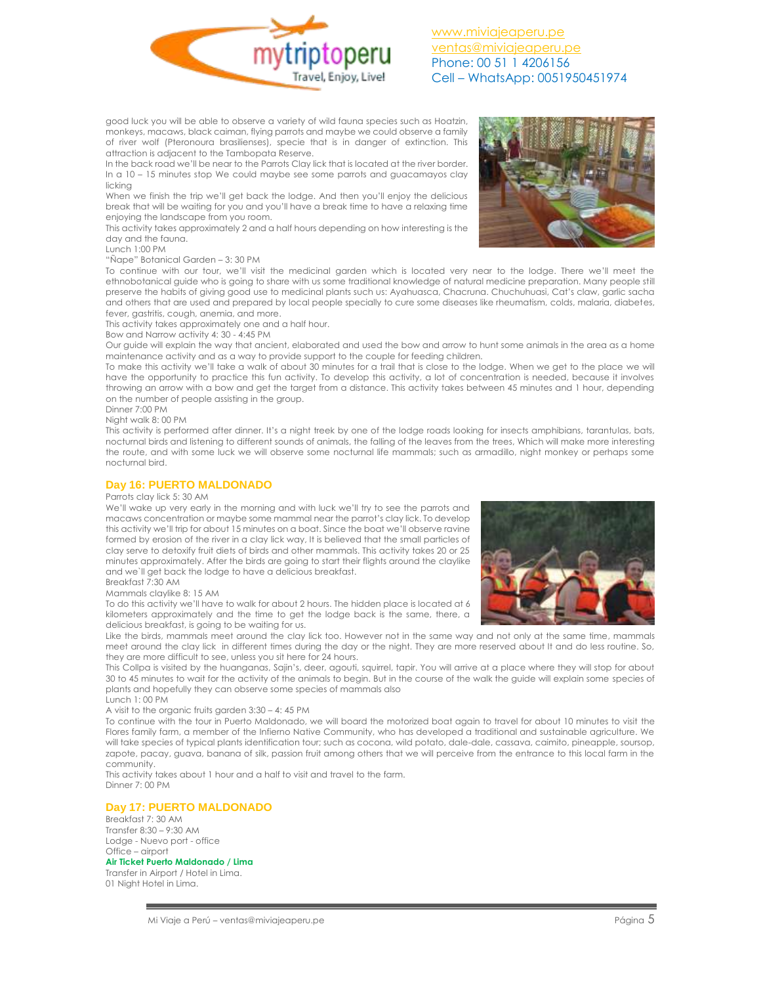

good luck you will be able to observe a variety of wild fauna species such as Hoatzin, monkeys, macaws, black caiman, flying parrots and maybe we could observe a family of river wolf (Pteronoura brasilienses), specie that is in danger of extinction. This attraction is adjacent to the Tambopata Reserve.

In the back road we'll be near to the Parrots Clay lick that is located at the river border. In a 10 – 15 minutes stop We could maybe see some parrots and guacamayos clay licking

When we finish the trip we'll get back the lodge. And then you'll enjoy the delicious break that will be waiting for you and you'll have a break time to have a relaxing time enjoying the landscape from you room.

This activity takes approximately 2 and a half hours depending on how interesting is the day and the fauna.

Lunch 1:00 PM

#### "Ñape" Botanical Garden – 3: 30 PM

To continue with our tour, we'll visit the medicinal garden which is located very near to the lodge. There we'll meet the ethnobotanical guide who is going to share with us some traditional knowledge of natural medicine preparation. Many people still preserve the habits of giving good use to medicinal plants such us: Ayahuasca, Chacruna. Chuchuhuasi, Cat's claw, garlic sacha and others that are used and prepared by local people specially to cure some diseases like rheumatism, colds, malaria, diabetes, fever, gastritis, cough, anemia, and more.

This activity takes approximately one and a half hour.

Bow and Narrow activity 4: 30 - 4:45 PM

Our guide will explain the way that ancient, elaborated and used the bow and arrow to hunt some animals in the area as a home maintenance activity and as a way to provide support to the couple for feeding children.

To make this activity we'll take a walk of about 30 minutes for a trail that is close to the lodge. When we get to the place we will have the opportunity to practice this fun activity. To develop this activity, a lot of concentration is needed, because it involves throwing an arrow with a bow and get the target from a distance. This activity takes between 45 minutes and 1 hour, depending on the number of people assisting in the group.

Dinner 7:00 PM

Night walk 8: 00 PM

This activity is performed after dinner. It's a night treek by one of the lodge roads looking for insects amphibians, tarantulas, bats, nocturnal birds and listening to different sounds of animals, the falling of the leaves from the trees, Which will make more interesting the route, and with some luck we will observe some nocturnal life mammals; such as armadillo, night monkey or perhaps some nocturnal bird.

## **Day 16: PUERTO MALDONADO**

#### Parrots clay lick 5: 30 AM

We'll wake up very early in the morning and with luck we'll try to see the parrots and macaws concentration or maybe some mammal near the parrot's clay lick. To develop this activity we'll trip for about 15 minutes on a boat. Since the boat we'll observe ravine formed by erosion of the river in a clay lick way, It is believed that the small particles of clay serve to detoxify fruit diets of birds and other mammals. This activity takes 20 or 25 minutes approximately. After the birds are going to start their flights around the claylike and we`ll get back the lodge to have a delicious breakfast. Breakfast 7:30 AM



## Mammals claylike 8: 15 AM

To do this activity we'll have to walk for about 2 hours. The hidden place is located at 6 kilometers approximately and the time to get the lodge back is the same, there, a delicious breakfast, is going to be waiting for us.

Like the birds, mammals meet around the clay lick too. However not in the same way and not only at the same time, mammals meet around the clay lick in different times during the day or the night. They are more reserved about It and do less routine. So, they are more difficult to see, unless you sit here for 24 hours.

This Collpa is visited by the huanganas, Sajin's, deer, agouti, squirrel, tapir. You will arrive at a place where they will stop for about 30 to 45 minutes to wait for the activity of the animals to begin. But in the course of the walk the guide will explain some species of plants and hopefully they can observe some species of mammals also

Lunch 1: 00 PM

A visit to the organic fruits garden 3:30 – 4: 45 PM

To continue with the tour in Puerto Maldonado, we will board the motorized boat again to travel for about 10 minutes to visit the Flores family farm, a member of the Infierno Native Community, who has developed a traditional and sustainable agriculture. We will take species of typical plants identification tour; such as cocona, wild potato, dale-dale, cassava, caimito, pineapple, soursop, zapote, pacay, guava, banana of silk, passion fruit among others that we will perceive from the entrance to this local farm in the community.

This activity takes about 1 hour and a half to visit and travel to the farm. Dinner 7: 00 PM

## **Day 17: PUERTO MALDONADO**

Breakfast 7: 30 AM Transfer 8:30 – 9:30 AM Lodge - Nuevo port - office Office – airport

#### **Air Ticket Puerto Maldonado / Lima**

Transfer in Airport / Hotel in Lima. 01 Night Hotel in Lima.

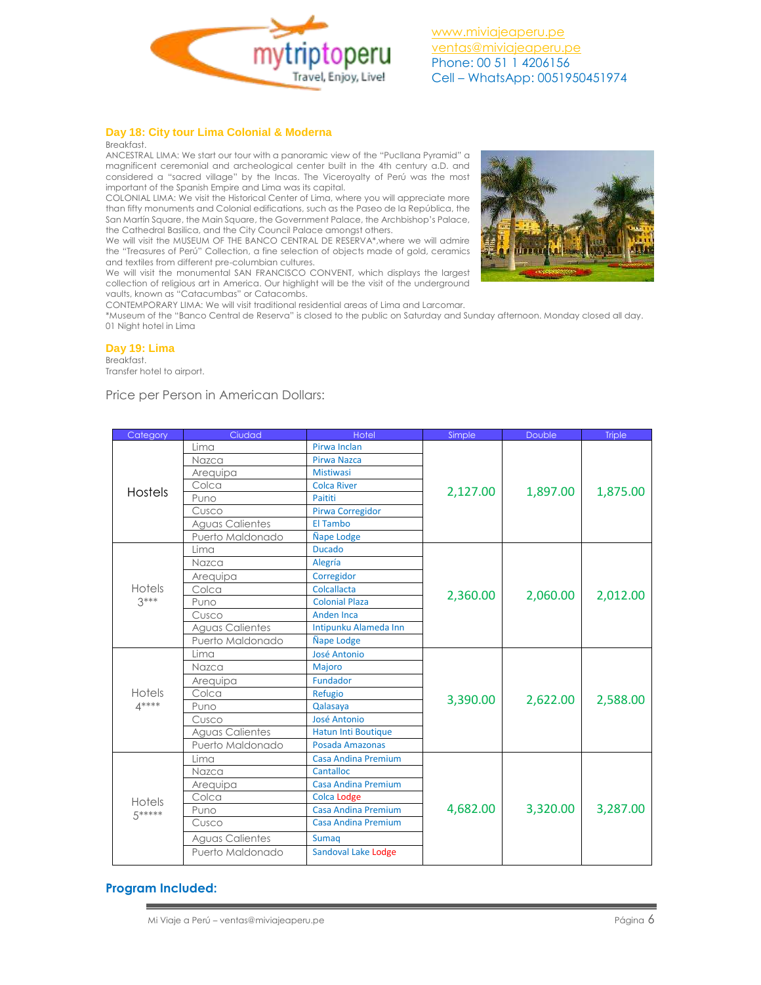

## **Day 18: City tour Lima Colonial & Moderna**

#### Breakfast.

ANCESTRAL LIMA: We start our tour with a panoramic view of the "Pucllana Pyramid" a magnificent ceremonial and archeological center built in the 4th century a.D. and considered a "sacred village" by the Incas. The Viceroyalty of Perú was the most important of the Spanish Empire and Lima was its capital.

COLONIAL LIMA: We visit the Historical Center of Lima, where you will appreciate more than fifty monuments and Colonial edifications, such as the Paseo de la República, the San Martín Square, the Main Square, the Government Palace, the Archbishop's Palace, the Cathedral Basilica, and the City Council Palace amongst others.

We will visit the MUSEUM OF THE BANCO CENTRAL DE RESERVA\*,where we will admire the "Treasures of Perú" Collection, a fine selection of objects made of gold, ceramics and textiles from different pre-columbian cultures.

We will visit the monumental SAN FRANCISCO CONVENT, which displays the largest collection of religious art in America. Our highlight will be the visit of the underground vaults, known as "Catacumbas" or Catacombs.

CONTEMPORARY LIMA: We will visit traditional residential areas of Lima and Larcomar.

\*Museum of the "Banco Central de Reserva" is closed to the public on Saturday and Sunday afternoon. Monday closed all day. 01 Night hotel in Lima

## **Day 19: Lima**

## Breakfast.

Transfer hotel to airport.

## Price per Person in American Dollars:

| Category                     | Ciudad                 | Hotel                      | Simple   | <b>Double</b> | <b>Triple</b> |
|------------------------------|------------------------|----------------------------|----------|---------------|---------------|
| <b>Hostels</b>               | Lima                   | Pirwa Inclan               | 2,127.00 | 1,897.00      | 1,875.00      |
|                              | Nazca                  | Pirwa Nazca                |          |               |               |
|                              | Arequipa               | <b>Mistiwasi</b>           |          |               |               |
|                              | Colca                  | <b>Colca River</b>         |          |               |               |
|                              | Puno                   | Paititi                    |          |               |               |
|                              | Cusco                  | Pirwa Corregidor           |          |               |               |
|                              | <b>Aguas Calientes</b> | El Tambo                   |          |               |               |
|                              | Puerto Maldonado       | <b>Ñape Lodge</b>          |          |               |               |
|                              | Lima                   | <b>Ducado</b>              | 2,360.00 | 2,060.00      | 2,012.00      |
| Hotels                       | Nazca                  | Alegría                    |          |               |               |
|                              | Arequipa               | Corregidor                 |          |               |               |
|                              | Colca                  | Colcallacta                |          |               |               |
| $3***$                       | Puno                   | <b>Colonial Plaza</b>      |          |               |               |
|                              | Cusco                  | <b>Anden Inca</b>          |          |               |               |
|                              | <b>Aguas Calientes</b> | Intipunku Alameda Inn      |          |               |               |
|                              | Puerto Maldonado       | <b>Ñape Lodge</b>          |          |               |               |
| Hotels<br>$\mathbf{A}^{***}$ | Lima                   | <b>José Antonio</b>        | 3,390.00 | 2,622.00      | 2,588.00      |
|                              | Nazca                  | Majoro                     |          |               |               |
|                              | Arequipa               | Fundador                   |          |               |               |
|                              | Colca                  | Refugio                    |          |               |               |
|                              | Puno                   | Qalasaya                   |          |               |               |
|                              | Cusco                  | José Antonio               |          |               |               |
|                              | Aguas Calientes        | <b>Hatun Inti Boutique</b> |          |               |               |
|                              | Puerto Maldonado       | Posada Amazonas            |          |               |               |
| Hotels<br>5*****             | Lima                   | <b>Casa Andina Premium</b> | 4,682.00 | 3,320.00      | 3,287.00      |
|                              | Nazca                  | Cantalloc                  |          |               |               |
|                              | Arequipa               | <b>Casa Andina Premium</b> |          |               |               |
|                              | Colca                  | <b>Colca Lodge</b>         |          |               |               |
|                              | Puno                   | <b>Casa Andina Premium</b> |          |               |               |
|                              | Cusco                  | Casa Andina Premium        |          |               |               |
|                              | <b>Aguas Calientes</b> | <b>Sumaq</b>               |          |               |               |
|                              | Puerto Maldonado       | Sandoval Lake Lodge        |          |               |               |

## **Program Included:**

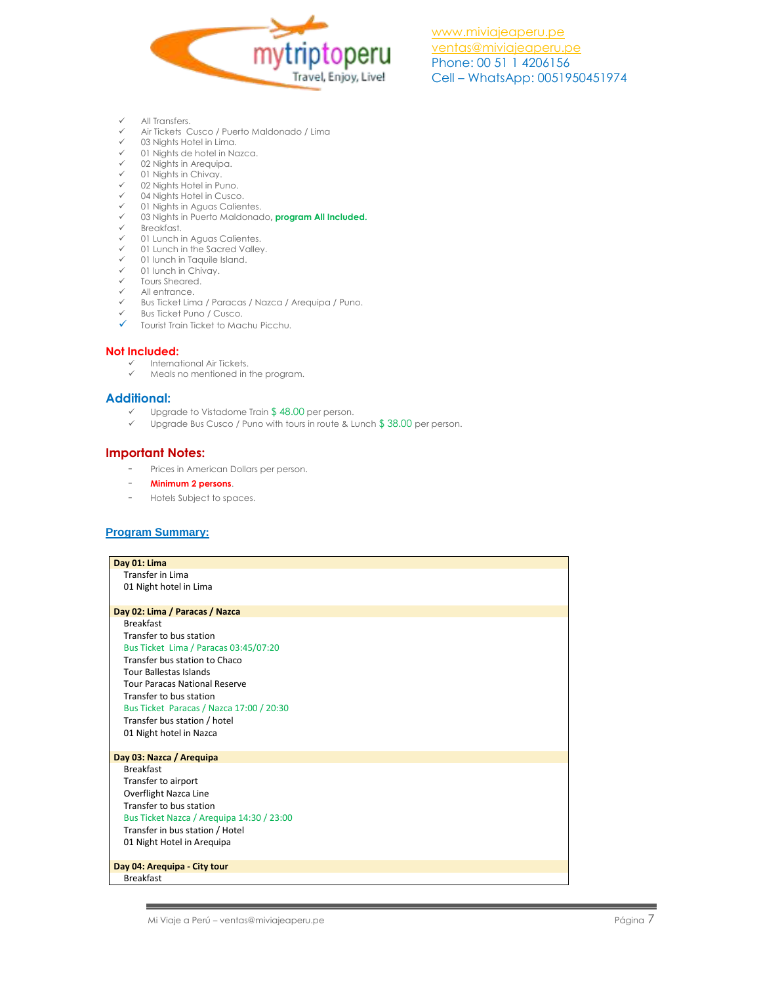

- $\checkmark$  All Transfers.<br> $\checkmark$  Air Tickets C
- Air Tickets Cusco / Puerto Maldonado / Lima
- 03 Nights Hotel in Lima.
- $\checkmark$  01 Nights de hotel in Nazca.<br> $\checkmark$  02 Nights in Arequing
- 02 Nights in Arequipa.
- 01 Nights in Chivay.
- 02 Nights Hotel in Puno.
- 04 Nights Hotel in Cusco.
- $\checkmark$  01 Nights in Aguas Calientes.<br> $\checkmark$  03 Nights in Puerto Maldonac 03 Nights in Puerto Maldonado**, program All Included.**
- 
- $\checkmark$  Breakfast.<br> $\checkmark$  01 Lunching 01 Lunch in Aguas Calientes.
- 
- $\checkmark$  01 Lunch in the Sacred Valley.<br> $\checkmark$  01 lunch in Taquile Island 01 lunch in Taquile Island.
- $\checkmark$  01 lunch in Chivay.
- Tours Sheared.
- All entrance.
- Bus Ticket Lima / Paracas / Nazca / Arequipa / Puno.
- $\checkmark$  Bus Ticket Puno / Cusco.
- Tourist Train Ticket to Machu Picchu.

## **Not Included:**

- $\checkmark$  International Air Tickets.<br> $\checkmark$  Meals no mentioned in t
- Meals no mentioned in the program.

## **Additional:**

- ← Upgrade to Vistadome Train \$ 48.00 per person.<br>← Upgrade Bus Cusco / Puno with tours in route & Li
- Upgrade Bus Cusco / Puno with tours in route & Lunch \$ 38.00 per person.

## **Important Notes:**

- Prices in American Dollars per person.
- **Minimum 2 persons**.
- Hotels Subject to spaces.

## **Program Summary:**

| Day 01: Lima                              |  |  |
|-------------------------------------------|--|--|
| <b>Transfer in Lima</b>                   |  |  |
| 01 Night hotel in Lima                    |  |  |
|                                           |  |  |
| Day 02: Lima / Paracas / Nazca            |  |  |
| <b>Breakfast</b>                          |  |  |
| Transfer to bus station                   |  |  |
| Bus Ticket Lima / Paracas 03:45/07:20     |  |  |
| Transfer bus station to Chaco             |  |  |
| <b>Tour Ballestas Islands</b>             |  |  |
| <b>Tour Paracas National Reserve</b>      |  |  |
| Transfer to bus station                   |  |  |
| Bus Ticket Paracas / Nazca 17:00 / 20:30  |  |  |
| Transfer bus station / hotel              |  |  |
| 01 Night hotel in Nazca                   |  |  |
|                                           |  |  |
| Day 03: Nazca / Arequipa                  |  |  |
| <b>Breakfast</b>                          |  |  |
| Transfer to airport                       |  |  |
| Overflight Nazca Line                     |  |  |
| Transfer to bus station                   |  |  |
| Bus Ticket Nazca / Arequipa 14:30 / 23:00 |  |  |
| Transfer in bus station / Hotel           |  |  |
| 01 Night Hotel in Arequipa                |  |  |
|                                           |  |  |
| Day 04: Arequipa - City tour              |  |  |
| <b>Breakfast</b>                          |  |  |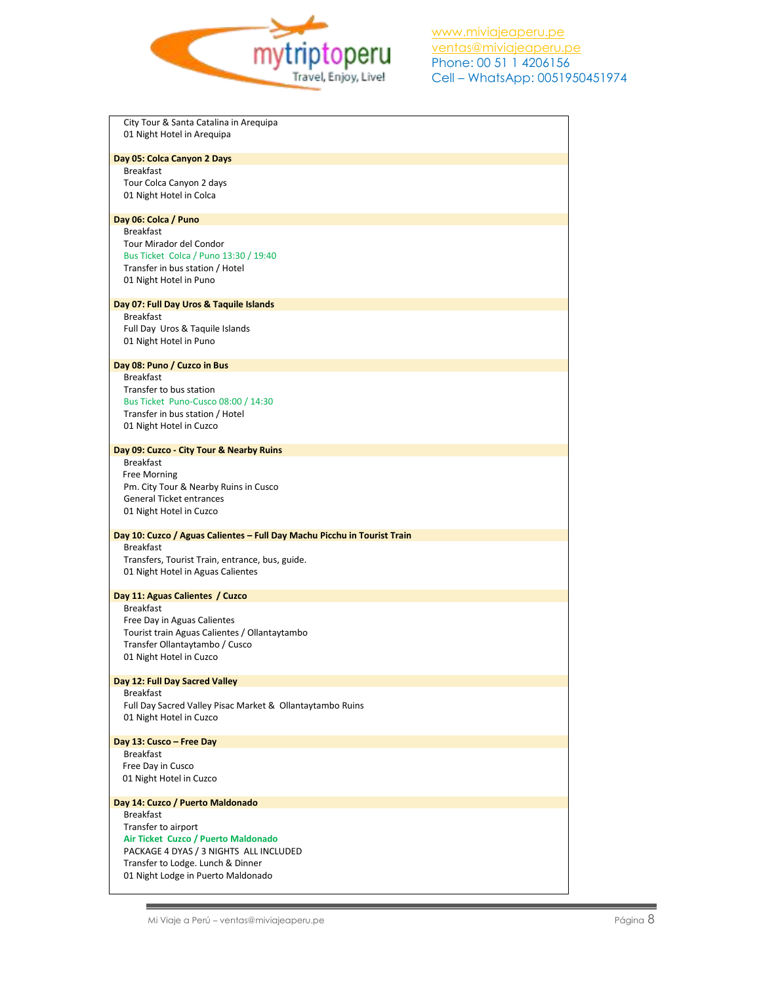

| City Tour & Santa Catalina in Arequipa                                                       |
|----------------------------------------------------------------------------------------------|
| 01 Night Hotel in Arequipa                                                                   |
| Day 05: Colca Canyon 2 Days                                                                  |
| <b>Breakfast</b>                                                                             |
| Tour Colca Canyon 2 days                                                                     |
| 01 Night Hotel in Colca                                                                      |
|                                                                                              |
| Day 06: Colca / Puno                                                                         |
| <b>Breakfast</b>                                                                             |
| Tour Mirador del Condor                                                                      |
| Bus Ticket Colca / Puno 13:30 / 19:40                                                        |
| Transfer in bus station / Hotel                                                              |
| 01 Night Hotel in Puno                                                                       |
| Day 07: Full Day Uros & Taquile Islands                                                      |
| <b>Breakfast</b>                                                                             |
| Full Day Uros & Taquile Islands                                                              |
| 01 Night Hotel in Puno                                                                       |
|                                                                                              |
| Day 08: Puno / Cuzco in Bus                                                                  |
| <b>Breakfast</b>                                                                             |
| Transfer to bus station                                                                      |
| Bus Ticket Puno-Cusco 08:00 / 14:30                                                          |
| Transfer in bus station / Hotel<br>01 Night Hotel in Cuzco                                   |
|                                                                                              |
| Day 09: Cuzco - City Tour & Nearby Ruins                                                     |
| <b>Breakfast</b>                                                                             |
| Free Morning                                                                                 |
| Pm. City Tour & Nearby Ruins in Cusco                                                        |
| <b>General Ticket entrances</b>                                                              |
| 01 Night Hotel in Cuzco                                                                      |
|                                                                                              |
| Day 10: Cuzco / Aguas Calientes - Full Day Machu Picchu in Tourist Train<br><b>Breakfast</b> |
| Transfers, Tourist Train, entrance, bus, guide.                                              |
| 01 Night Hotel in Aguas Calientes                                                            |
|                                                                                              |
| Day 11: Aguas Calientes / Cuzco                                                              |
| <b>Breakfast</b>                                                                             |
| Free Day in Aguas Calientes                                                                  |
| Tourist train Aguas Calientes / Ollantaytambo                                                |
| Transfer Ollantaytambo / Cusco                                                               |
| 01 Night Hotel in Cuzco                                                                      |
| Day 12: Full Day Sacred Valley                                                               |
| <b>Breakfast</b>                                                                             |
| Full Day Sacred Valley Pisac Market & Ollantaytambo Ruins                                    |
| 01 Night Hotel in Cuzco                                                                      |
|                                                                                              |
| Day 13: Cusco - Free Day                                                                     |
| <b>Breakfast</b>                                                                             |
| Free Day in Cusco<br>01 Night Hotel in Cuzco                                                 |
|                                                                                              |
| Day 14: Cuzco / Puerto Maldonado                                                             |
| <b>Breakfast</b>                                                                             |
| Transfer to airport                                                                          |
| Air Ticket Cuzco / Puerto Maldonado                                                          |
| PACKAGE 4 DYAS / 3 NIGHTS ALL INCLUDED                                                       |
| Transfer to Lodge. Lunch & Dinner                                                            |
| 01 Night Lodge in Puerto Maldonado                                                           |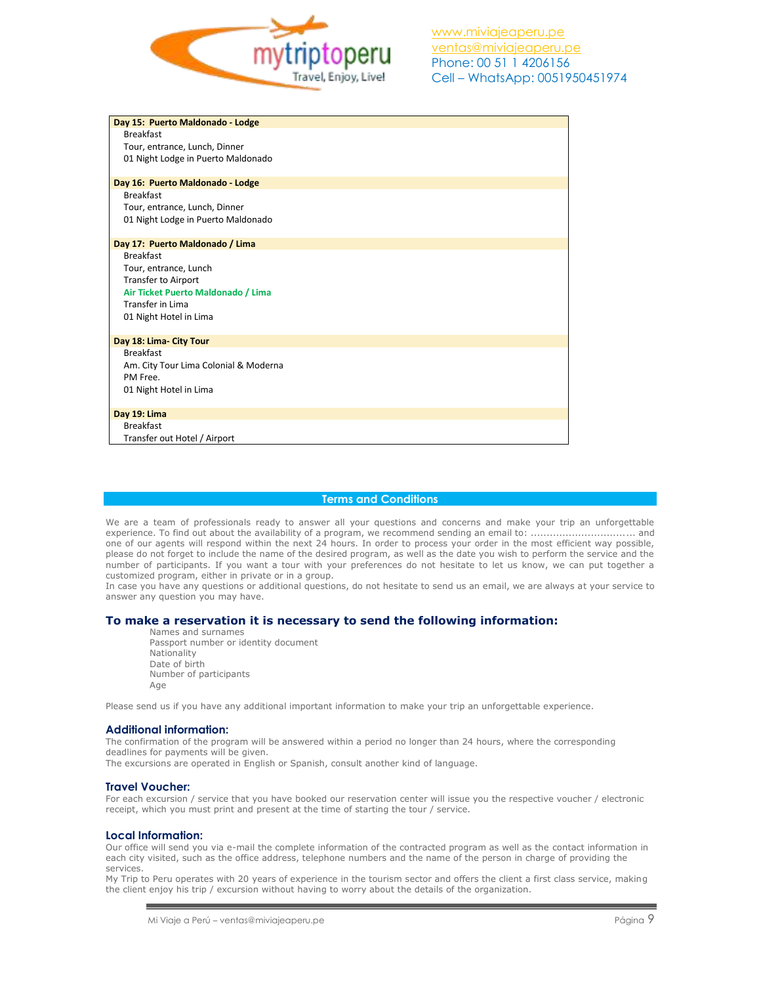

| Day 15: Puerto Maldonado - Lodge      |  |  |
|---------------------------------------|--|--|
| <b>Breakfast</b>                      |  |  |
| Tour, entrance, Lunch, Dinner         |  |  |
| 01 Night Lodge in Puerto Maldonado    |  |  |
|                                       |  |  |
| Day 16: Puerto Maldonado - Lodge      |  |  |
| <b>Breakfast</b>                      |  |  |
| Tour, entrance, Lunch, Dinner         |  |  |
| 01 Night Lodge in Puerto Maldonado    |  |  |
|                                       |  |  |
| Day 17: Puerto Maldonado / Lima       |  |  |
| <b>Breakfast</b>                      |  |  |
| Tour, entrance, Lunch                 |  |  |
| <b>Transfer to Airport</b>            |  |  |
| Air Ticket Puerto Maldonado / Lima    |  |  |
| Transfer in Lima                      |  |  |
| 01 Night Hotel in Lima                |  |  |
|                                       |  |  |
| Day 18: Lima- City Tour               |  |  |
| <b>Breakfast</b>                      |  |  |
| Am. City Tour Lima Colonial & Moderna |  |  |
| PM Free.                              |  |  |
| 01 Night Hotel in Lima                |  |  |
|                                       |  |  |
| Day 19: Lima                          |  |  |
| <b>Breakfast</b>                      |  |  |
| Transfer out Hotel / Airport          |  |  |

## **Terms and Conditions**

We are a team of professionals ready to answer all your questions and concerns and make your trip an unforgettable experience. To find out about the availability of a program, we recommend sending an email to: ................................. and one of our agents will respond within the next 24 hours. In order to process your order in the most efficient way possible, please do not forget to include the name of the desired program, as well as the date you wish to perform the service and the number of participants. If you want a tour with your preferences do not hesitate to let us know, we can put together a customized program, either in private or in a group.

In case you have any questions or additional questions, do not hesitate to send us an email, we are always at your service to answer any question you may have.

## **To make a reservation it is necessary to send the following information:**

Names and surnames Passport number or identity document Nationality Date of birth Number of participants Age

Please send us if you have any additional important information to make your trip an unforgettable experience.

### **Additional information:**

The confirmation of the program will be answered within a period no longer than 24 hours, where the corresponding deadlines for payments will be given.

The excursions are operated in English or Spanish, consult another kind of language.

#### **Travel Voucher:**

For each excursion / service that you have booked our reservation center will issue you the respective voucher / electronic receipt, which you must print and present at the time of starting the tour / service.

#### **Local Information:**

Our office will send you via e-mail the complete information of the contracted program as well as the contact information in each city visited, such as the office address, telephone numbers and the name of the person in charge of providing the services.

My Trip to Peru operates with 20 years of experience in the tourism sector and offers the client a first class service, making the client enjoy his trip / excursion without having to worry about the details of the organization.